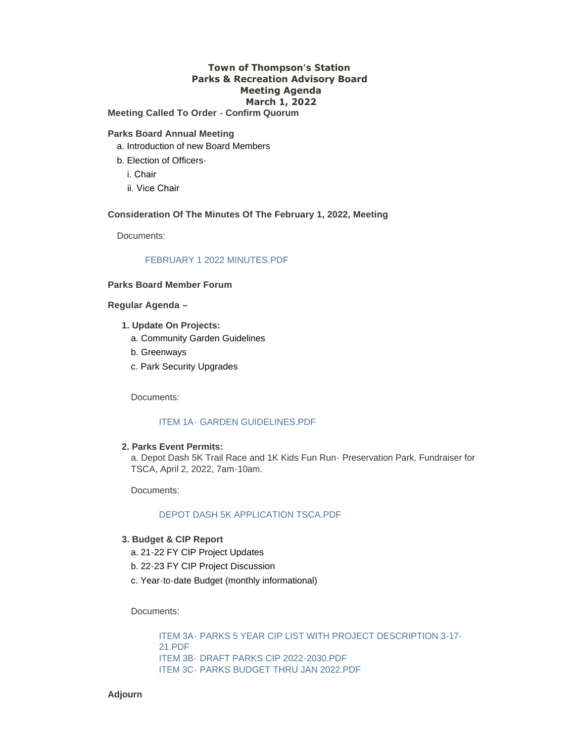# **Town of Thompson's Station Parks & Recreation Advisory Board Meeting Agenda March 1, 2022**

**Meeting Called To Order - Confirm Quorum**

#### **Parks Board Annual Meeting**

- a. Introduction of new Board Members
- b. Election of Officers
	- i. Chair
	- ii. Vice Chair

## **Consideration Of The Minutes Of The February 1, 2022, Meeting**

Documents:

## [FEBRUARY 1 2022 MINUTES.PDF](https://www.thompsons-station.com/AgendaCenter/ViewFile/Item/3670?fileID=15228)

## **Parks Board Member Forum**

**Regular Agenda –**

- **1. Update On Projects:**
	- a. Community Garden Guidelines
	- b. Greenways
	- c. Park Security Upgrades

Documents:

## ITEM 1A- [GARDEN GUIDELINES.PDF](https://www.thompsons-station.com/AgendaCenter/ViewFile/Item/3671?fileID=15229)

# **2. Parks Event Permits:**

a. Depot Dash 5K Trail Race and 1K Kids Fun Run- Preservation Park. Fundraiser for TSCA, April 2, 2022, 7am-10am.

Documents:

#### [DEPOT DASH 5K APPLICATION TSCA.PDF](https://www.thompsons-station.com/AgendaCenter/ViewFile/Item/3672?fileID=15233)

## **3. Budget & CIP Report**

- a. 21-22 FY CIP Project Updates
- b. 22-23 FY CIP Project Discussion
- c. Year-to-date Budget (monthly informational)

Documents:

ITEM 3A- [PARKS 5 YEAR CIP LIST WITH PROJECT DESCRIPTION 3-17-](https://www.thompsons-station.com/AgendaCenter/ViewFile/Item/3673?fileID=15231) 21.PDF ITEM 3B- [DRAFT PARKS CIP 2022-2030.PDF](https://www.thompsons-station.com/AgendaCenter/ViewFile/Item/3673?fileID=15232) ITEM 3C- [PARKS BUDGET THRU JAN 2022.PDF](https://www.thompsons-station.com/AgendaCenter/ViewFile/Item/3673?fileID=15230)

**Adjourn**